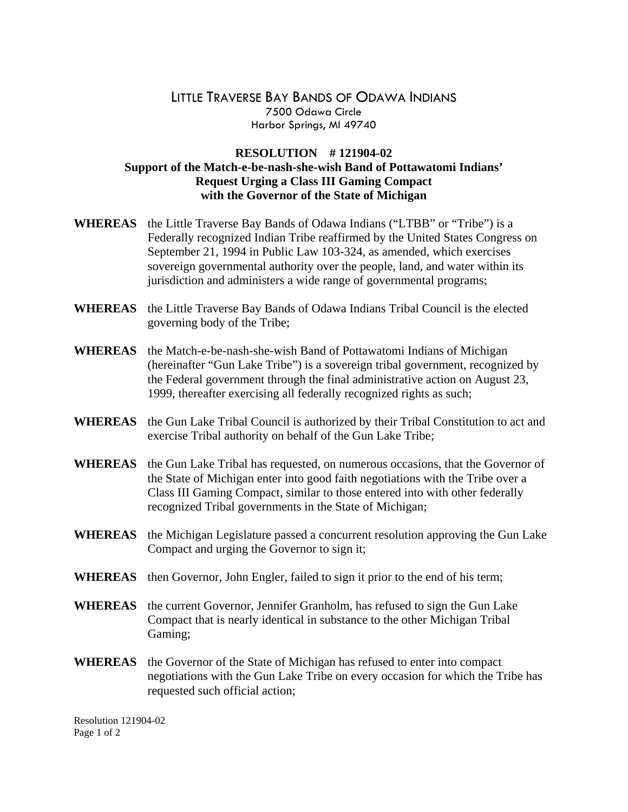## LITTLE TRAVERSE BAY BANDS OF ODAWA INDIANS 7500 Odawa Circle Harbor Springs, MI 49740

## **RESOLUTION # 121904-02 Support of the Match-e-be-nash-she-wish Band of Pottawatomi Indians' Request Urging a Class III Gaming Compact with the Governor of the State of Michigan**

- **WHEREAS** the Little Traverse Bay Bands of Odawa Indians ("LTBB" or "Tribe") is a Federally recognized Indian Tribe reaffirmed by the United States Congress on September 21, 1994 in Public Law 103-324, as amended, which exercises sovereign governmental authority over the people, land, and water within its jurisdiction and administers a wide range of governmental programs;
- **WHEREAS** the Little Traverse Bay Bands of Odawa Indians Tribal Council is the elected governing body of the Tribe;
- **WHEREAS** the Match-e-be-nash-she-wish Band of Pottawatomi Indians of Michigan (hereinafter "Gun Lake Tribe") is a sovereign tribal government, recognized by the Federal government through the final administrative action on August 23, 1999, thereafter exercising all federally recognized rights as such;
- **WHEREAS** the Gun Lake Tribal Council is authorized by their Tribal Constitution to act and exercise Tribal authority on behalf of the Gun Lake Tribe;
- **WHEREAS** the Gun Lake Tribal has requested, on numerous occasions, that the Governor of the State of Michigan enter into good faith negotiations with the Tribe over a Class III Gaming Compact, similar to those entered into with other federally recognized Tribal governments in the State of Michigan;
- **WHEREAS** the Michigan Legislature passed a concurrent resolution approving the Gun Lake Compact and urging the Governor to sign it;
- **WHEREAS** then Governor, John Engler, failed to sign it prior to the end of his term;
- **WHEREAS** the current Governor, Jennifer Granholm, has refused to sign the Gun Lake Compact that is nearly identical in substance to the other Michigan Tribal Gaming;
- **WHEREAS** the Governor of the State of Michigan has refused to enter into compact negotiations with the Gun Lake Tribe on every occasion for which the Tribe has requested such official action;

Resolution 121904-02 Page 1 of 2